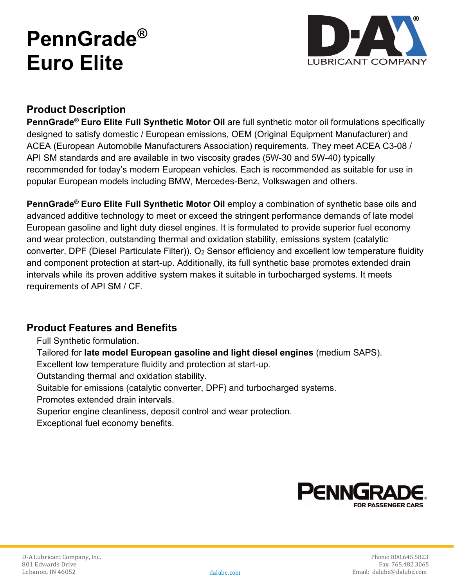# **PennGrade® Euro Elite**



## **Product Description**

**PennGrade® Euro Elite Full Synthetic Motor Oil** are full synthetic motor oil formulations specifically designed to satisfy domestic / European emissions, OEM (Original Equipment Manufacturer) and ACEA (European Automobile Manufacturers Association) requirements. They meet ACEA C3-08 / API SM standards and are available in two viscosity grades (5W-30 and 5W-40) typically recommended for today's modern European vehicles. Each is recommended as suitable for use in popular European models including BMW, Mercedes-Benz, Volkswagen and others.

**PennGrade® Euro Elite Full Synthetic Motor Oil** employ a combination of synthetic base oils and advanced additive technology to meet or exceed the stringent performance demands of late model European gasoline and light duty diesel engines. It is formulated to provide superior fuel economy and wear protection, outstanding thermal and oxidation stability, emissions system (catalytic converter, DPF (Diesel Particulate Filter)). O<sub>2</sub> Sensor efficiency and excellent low temperature fluidity and component protection at start-up. Additionally, its full synthetic base promotes extended drain intervals while its proven additive system makes it suitable in turbocharged systems. It meets requirements of API SM / CF.

## **Product Features and Benefits**

Full Synthetic formulation.

Tailored for **late model European gasoline and light diesel engines** (medium SAPS).

Excellent low temperature fluidity and protection at start-up.

Outstanding thermal and oxidation stability.

Suitable for emissions (catalytic converter, DPF) and turbocharged systems.

Promotes extended drain intervals.

Superior engine cleanliness, deposit control and wear protection.

Exceptional fuel economy benefits.